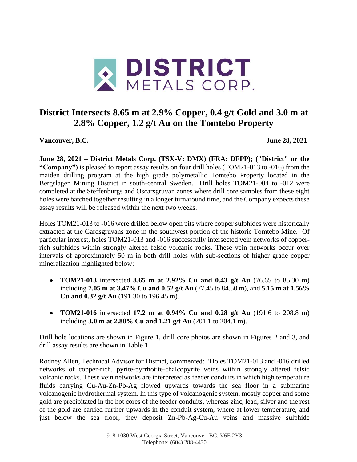

# **District Intersects 8.65 m at 2.9% Copper, 0.4 g/t Gold and 3.0 m at 2.8% Copper, 1.2 g/t Au on the Tomtebo Property**

**Vancouver, B.C. June 28, 2021**

**June 28, 2021 – District Metals Corp. (TSX-V: DMX) (FRA: DFPP); ("District" or the "Company")** is pleased to report assay results on four drill holes (TOM21-013 to -016) from the maiden drilling program at the high grade polymetallic Tomtebo Property located in the Bergslagen Mining District in south-central Sweden. Drill holes TOM21-004 to -012 were completed at the Steffenburgs and Oscarsgruvan zones where drill core samples from these eight holes were batched together resulting in a longer turnaround time, and the Company expects these assay results will be released within the next two weeks.

Holes TOM21-013 to -016 were drilled below open pits where copper sulphides were historically extracted at the Gårdsgruvans zone in the southwest portion of the historic Tomtebo Mine. Of particular interest, holes TOM21-013 and -016 successfully intersected vein networks of copperrich sulphides within strongly altered felsic volcanic rocks. These vein networks occur over intervals of approximately 50 m in both drill holes with sub-sections of higher grade copper mineralization highlighted below:

- **TOM21-013** intersected **8.65 m at 2.92% Cu and 0.43 g/t Au** (76.65 to 85.30 m) including **7.05 m at 3.47% Cu and 0.52 g/t Au** (77.45 to 84.50 m), and **5.15 m at 1.56% Cu and 0.32 g/t Au** (191.30 to 196.45 m).
- **TOM21-016** intersected **17.2 m at 0.94% Cu and 0.28 g/t Au** (191.6 to 208.8 m) including **3.0 m at 2.80% Cu and 1.21 g/t Au** (201.1 to 204.1 m).

Drill hole locations are shown in Figure 1, drill core photos are shown in Figures 2 and 3, and drill assay results are shown in Table 1.

Rodney Allen, Technical Advisor for District, commented: "Holes TOM21-013 and -016 drilled networks of copper-rich, pyrite-pyrrhotite-chalcopyrite veins within strongly altered felsic volcanic rocks. These vein networks are interpreted as feeder conduits in which high temperature fluids carrying Cu-Au-Zn-Pb-Ag flowed upwards towards the sea floor in a submarine volcanogenic hydrothermal system. In this type of volcanogenic system, mostly copper and some gold are precipitated in the hot cores of the feeder conduits, whereas zinc, lead, silver and the rest of the gold are carried further upwards in the conduit system, where at lower temperature, and just below the sea floor, they deposit Zn-Pb-Ag-Cu-Au veins and massive sulphide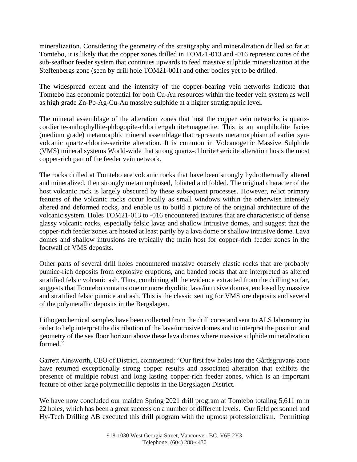mineralization. Considering the geometry of the stratigraphy and mineralization drilled so far at Tomtebo, it is likely that the copper zones drilled in TOM21-013 and -016 represent cores of the sub-seafloor feeder system that continues upwards to feed massive sulphide mineralization at the Steffenbergs zone (seen by drill hole TOM21-001) and other bodies yet to be drilled.

The widespread extent and the intensity of the copper-bearing vein networks indicate that Tomtebo has economic potential for both Cu-Au resources within the feeder vein system as well as high grade Zn-Pb-Ag-Cu-Au massive sulphide at a higher stratigraphic level.

The mineral assemblage of the alteration zones that host the copper vein networks is quartzcordierite-anthophyllite-phlogopite-chlorite±gahnite±magnetite. This is an amphibolite facies (medium grade) metamorphic mineral assemblage that represents metamorphism of earlier synvolcanic quartz-chlorite-sericite alteration. It is common in Volcanogenic Massive Sulphide (VMS) mineral systems World-wide that strong quartz-chlorite±sericite alteration hosts the most copper-rich part of the feeder vein network.

The rocks drilled at Tomtebo are volcanic rocks that have been strongly hydrothermally altered and mineralized, then strongly metamorphosed, foliated and folded. The original character of the host volcanic rock is largely obscured by these subsequent processes. However, relict primary features of the volcanic rocks occur locally as small windows within the otherwise intensely altered and deformed rocks, and enable us to build a picture of the original architecture of the volcanic system. Holes TOM21-013 to -016 encountered textures that are characteristic of dense glassy volcanic rocks, especially felsic lavas and shallow intrusive domes, and suggest that the copper-rich feeder zones are hosted at least partly by a lava dome or shallow intrusive dome. Lava domes and shallow intrusions are typically the main host for copper-rich feeder zones in the footwall of VMS deposits.

Other parts of several drill holes encountered massive coarsely clastic rocks that are probably pumice-rich deposits from explosive eruptions, and banded rocks that are interpreted as altered stratified felsic volcanic ash. Thus, combining all the evidence extracted from the drilling so far, suggests that Tomtebo contains one or more rhyolitic lava/intrusive domes, enclosed by massive and stratified felsic pumice and ash. This is the classic setting for VMS ore deposits and several of the polymetallic deposits in the Bergslagen.

Lithogeochemical samples have been collected from the drill cores and sent to ALS laboratory in order to help interpret the distribution of the lava/intrusive domes and to interpret the position and geometry of the sea floor horizon above these lava domes where massive sulphide mineralization formed."

Garrett Ainsworth, CEO of District, commented: "Our first few holes into the Gårdsgruvans zone have returned exceptionally strong copper results and associated alteration that exhibits the presence of multiple robust and long lasting copper-rich feeder zones, which is an important feature of other large polymetallic deposits in the Bergslagen District.

We have now concluded our maiden Spring 2021 drill program at Tomtebo totaling 5,611 m in 22 holes, which has been a great success on a number of different levels. Our field personnel and Hy-Tech Drilling AB executed this drill program with the upmost professionalism. Permitting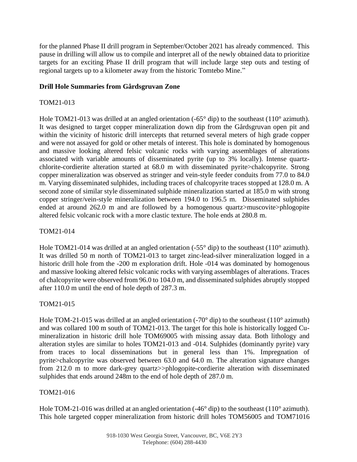for the planned Phase II drill program in September/October 2021 has already commenced. This pause in drilling will allow us to compile and interpret all of the newly obtained data to prioritize targets for an exciting Phase II drill program that will include large step outs and testing of regional targets up to a kilometer away from the historic Tomtebo Mine."

#### **Drill Hole Summaries from Gårdsgruvan Zone**

#### TOM21-013

Hole TOM21-013 was drilled at an angled orientation  $(-65^{\circ}$  dip) to the southeast  $(110^{\circ}$  azimuth). It was designed to target copper mineralization down dip from the Gårdsgruvan open pit and within the vicinity of historic drill intercepts that returned several meters of high grade copper and were not assayed for gold or other metals of interest. This hole is dominated by homogenous and massive looking altered felsic volcanic rocks with varying assemblages of alterations associated with variable amounts of disseminated pyrite (up to 3% locally). Intense quartzchlorite-cordierite alteration started at 68.0 m with disseminated pyrite>chalcopyrite. Strong copper mineralization was observed as stringer and vein-style feeder conduits from 77.0 to 84.0 m. Varying disseminated sulphides, including traces of chalcopyrite traces stopped at 128.0 m. A second zone of similar style disseminated sulphide mineralization started at 185.0 m with strong copper stringer/vein-style mineralization between 194.0 to 196.5 m. Disseminated sulphides ended at around 262.0 m and are followed by a homogenous quartz>muscovite>phlogopite altered felsic volcanic rock with a more clastic texture. The hole ends at 280.8 m.

#### TOM21-014

Hole TOM21-014 was drilled at an angled orientation  $(-55^{\circ}$  dip) to the southeast  $(110^{\circ}$  azimuth). It was drilled 50 m north of TOM21-013 to target zinc-lead-silver mineralization logged in a historic drill hole from the -200 m exploration drift. Hole -014 was dominated by homogenous and massive looking altered felsic volcanic rocks with varying assemblages of alterations. Traces of chalcopyrite were observed from 96.0 to 104.0 m, and disseminated sulphides abruptly stopped after 110.0 m until the end of hole depth of 287.3 m.

## TOM21-015

Hole TOM-21-015 was drilled at an angled orientation (-70° dip) to the southeast (110° azimuth) and was collared 100 m south of TOM21-013. The target for this hole is historically logged Cumineralization in historic drill hole TOM69005 with missing assay data. Both lithology and alteration styles are similar to holes TOM21-013 and -014. Sulphides (dominantly pyrite) vary from traces to local disseminations but in general less than 1%. Impregnation of pyrite>chalcopyrite was observed between 63.0 and 64.0 m. The alteration signature changes from 212.0 m to more dark-grey quartz>>phlogopite-cordierite alteration with disseminated sulphides that ends around 248m to the end of hole depth of 287.0 m.

#### TOM21-016

Hole TOM-21-016 was drilled at an angled orientation (-46<sup>o</sup> dip) to the southeast (110<sup>o</sup> azimuth). This hole targeted copper mineralization from historic drill holes TOM56005 and TOM71016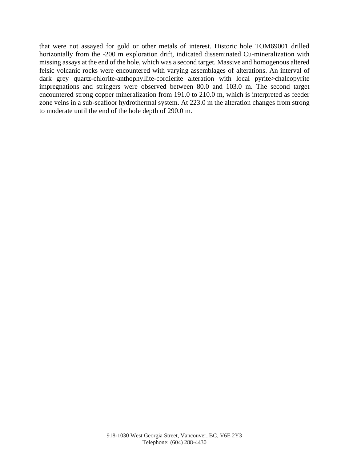that were not assayed for gold or other metals of interest. Historic hole TOM69001 drilled horizontally from the -200 m exploration drift, indicated disseminated Cu-mineralization with missing assays at the end of the hole, which was a second target. Massive and homogenous altered felsic volcanic rocks were encountered with varying assemblages of alterations. An interval of dark grey quartz-chlorite-anthophyllite-cordierite alteration with local pyrite>chalcopyrite impregnations and stringers were observed between 80.0 and 103.0 m. The second target encountered strong copper mineralization from 191.0 to 210.0 m, which is interpreted as feeder zone veins in a sub-seafloor hydrothermal system. At 223.0 m the alteration changes from strong to moderate until the end of the hole depth of 290.0 m.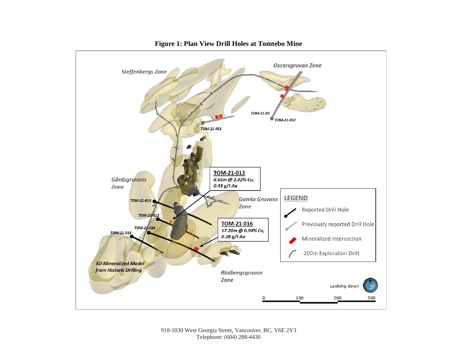

#### **Figure 1: Plan View Drill Holes at Tomtebo Mine**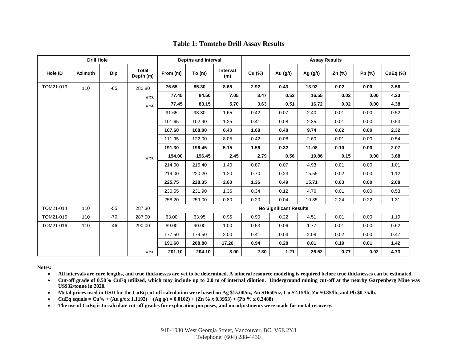| <b>Drill Hole</b> |                |            |                    | Depths and Interval           |          |                 | <b>Assay Results</b> |          |            |        |        |          |
|-------------------|----------------|------------|--------------------|-------------------------------|----------|-----------------|----------------------|----------|------------|--------|--------|----------|
| <b>Hole ID</b>    | <b>Azimuth</b> | <b>Dip</b> | Total<br>Depth (m) | From (m)                      | To $(m)$ | Interval<br>(m) | Cu (%)               | Au (g/t) | Ag $(g/t)$ | Zn (%) | Pb (%) | CuEq (%) |
| TOM21-013         | 110            | $-65$      | 280.80             | 76.65                         | 85.30    | 8.65            | 2.92                 | 0.43     | 13.92      | 0.02   | 0.00   | 3.56     |
|                   |                |            | incl.              | 77.45                         | 84.50    | 7.05            | 3.47                 | 0.52     | 16.55      | 0.02   | 0.00   | 4.23     |
|                   |                |            | incl.              | 77.45                         | 83.15    | 5.70            | 3.63                 | 0.51     | 16.72      | 0.02   | 0.00   | 4.38     |
|                   |                |            |                    | 91.65                         | 93.30    | 1.65            | 0.42                 | 0.07     | 2.40       | 0.01   | 0.00   | 0.52     |
|                   |                |            |                    | 101.65                        | 102.90   | 1.25            | 0.41                 | 0.08     | 2.35       | 0.01   | 0.00   | 0.53     |
|                   |                |            |                    | 107.60                        | 108.00   | 0.40            | 1.68                 | 0.48     | 9.74       | 0.02   | 0.00   | 2.32     |
|                   |                |            |                    | 111.95                        | 122.00   | 8.05            | 0.42                 | 0.08     | 2.60       | 0.01   | 0.00   | 0.54     |
|                   |                |            |                    | 191.30                        | 196.45   | 5.15            | 1.56                 | 0.32     | 11.08      | 0.10   | 0.00   | 2.07     |
|                   |                |            | incl.              | 194.00                        | 196.45   | 2.45            | 2.79                 | 0.56     | 19.86      | 0.15   | 0.00   | 3.68     |
|                   |                |            |                    | 214.00                        | 215.40   | 1.40            | 0.87                 | 0.07     | 4.93       | 0.01   | 0.00   | 1.01     |
|                   |                |            |                    | 219.00                        | 220.20   | 1.20            | 0.70                 | 0.23     | 15.55      | 0.02   | 0.00   | 1.12     |
|                   |                |            |                    | 225.75                        | 228.35   | 2.60            | 1.36                 | 0.49     | 15.71      | 0.03   | 0.00   | 2.08     |
|                   |                |            |                    | 230.55                        | 231.90   | 1.35            | 0.34                 | 0.12     | 4.76       | 0.01   | 0.00   | 0.53     |
|                   |                |            |                    | 258.20                        | 259.00   | 0.80            | 0.20                 | 0.04     | 10.35      | 2.24   | 0.22   | 1.31     |
| TOM21-014         | 110            | $-55$      | 287.30             | <b>No Significant Results</b> |          |                 |                      |          |            |        |        |          |
| TOM21-015         | 110            | $-70$      | 287.00             | 63.00                         | 63.95    | 0.95            | 0.90                 | 0.22     | 4.51       | 0.01   | 0.00   | 1.19     |
| TOM21-016         | 110            | $-46$      | 290.00             | 89.00                         | 90.00    | 1.00            | 0.53                 | 0.06     | 1.77       | 0.01   | 0.00   | 0.62     |
|                   |                |            |                    | 177.50                        | 179.50   | 2.00            | 0.41                 | 0.03     | 2.08       | 0.02   | 0.00   | 0.47     |
|                   |                |            |                    | 191.60                        | 208.80   | 17.20           | 0.94                 | 0.28     | 8.01       | 0.19   | 0.01   | 1.42     |
|                   |                |            | incl.              | 201.10                        | 204.10   | 3.00            | 2.80                 | 1.21     | 26.52      | 0.77   | 0.02   | 4.73     |

#### **Table 1: Tomtebo Drill Assay Results**

**Notes:**

- **All intervals are core lengths, and true thicknesses are yet to be determined. A mineral resource modeling is required before true thicknesses can be estimated.**
- **Cut-off grade of 0.50% CuEq utilized, which may include up to 2.0 m of internal dilution. Underground mining cut-off at the nearby Garpenberg Mine was US\$32/tonne in 2020.**
- **Metal prices used in USD for the CuEq cut-off calculation were based on Ag \$15.00/oz, Au \$1650/oz, Cu \$2.15/lb, Zn \$0.85/lb, and Pb \$0.75/lb.**
- **CuEq equals = Cu%** + (Au g/t x 1.1192) + (Ag g/t  $\times$  0.0102) + (Zn % x 0.3953) + (Pb % x 0.3488)
- **The use of CuEq is to calculate cut-off grades for exploration purposes, and no adjustments were made for metal recovery.**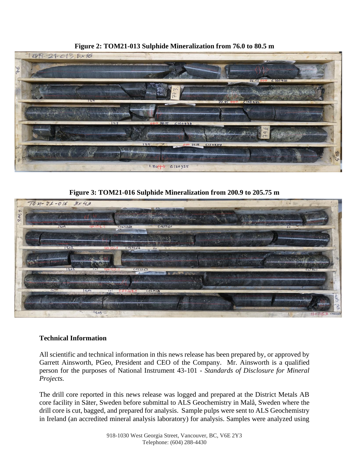

**Figure 2: TOM21-013 Sulphide Mineralization from 76.0 to 80.5 m**

**Figure 3: TOM21-016 Sulphide Mineralization from 200.9 to 205.75 m**



## **Technical Information**

All scientific and technical information in this news release has been prepared by, or approved by Garrett Ainsworth, PGeo, President and CEO of the Company. Mr. Ainsworth is a qualified person for the purposes of National Instrument 43-101 - *Standards of Disclosure for Mineral Projects.*

The drill core reported in this news release was logged and prepared at the District Metals AB core facility in Säter, Sweden before submittal to ALS Geochemistry in Malå, Sweden where the drill core is cut, bagged, and prepared for analysis. Sample pulps were sent to ALS Geochemistry in Ireland (an accredited mineral analysis laboratory) for analysis. Samples were analyzed using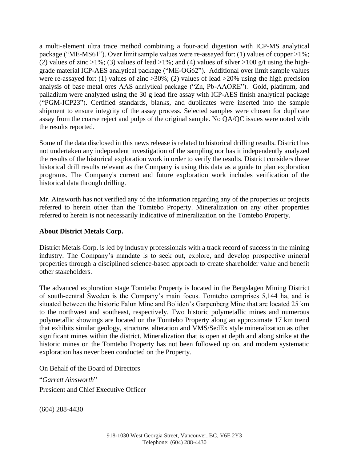a multi-element ultra trace method combining a four-acid digestion with ICP-MS analytical package ("ME-MS61"). Over limit sample values were re-assayed for: (1) values of copper >1%; (2) values of zinc  $>1\%$ ; (3) values of lead  $>1\%$ ; and (4) values of silver  $>100$  g/t using the highgrade material ICP-AES analytical package ("ME-OG62"). Additional over limit sample values were re-assayed for: (1) values of zinc  $>30\%$ ; (2) values of lead  $>20\%$  using the high precision analysis of base metal ores AAS analytical package ("Zn, Pb-AAORE"). Gold, platinum, and palladium were analyzed using the 30 g lead fire assay with ICP-AES finish analytical package ("PGM-ICP23"). Certified standards, blanks, and duplicates were inserted into the sample shipment to ensure integrity of the assay process. Selected samples were chosen for duplicate assay from the coarse reject and pulps of the original sample. No QA/QC issues were noted with the results reported.

Some of the data disclosed in this news release is related to historical drilling results. District has not undertaken any independent investigation of the sampling nor has it independently analyzed the results of the historical exploration work in order to verify the results. District considers these historical drill results relevant as the Company is using this data as a guide to plan exploration programs. The Company's current and future exploration work includes verification of the historical data through drilling.

Mr. Ainsworth has not verified any of the information regarding any of the properties or projects referred to herein other than the Tomtebo Property. Mineralization on any other properties referred to herein is not necessarily indicative of mineralization on the Tomtebo Property.

#### **About District Metals Corp.**

District Metals Corp. is led by industry professionals with a track record of success in the mining industry. The Company's mandate is to seek out, explore, and develop prospective mineral properties through a disciplined science-based approach to create shareholder value and benefit other stakeholders.

The advanced exploration stage Tomtebo Property is located in the Bergslagen Mining District of south-central Sweden is the Company's main focus. Tomtebo comprises 5,144 ha, and is situated between the historic Falun Mine and Boliden's Garpenberg Mine that are located 25 km to the northwest and southeast, respectively. Two historic polymetallic mines and numerous polymetallic showings are located on the Tomtebo Property along an approximate 17 km trend that exhibits similar geology, structure, alteration and VMS/SedEx style mineralization as other significant mines within the district. Mineralization that is open at depth and along strike at the historic mines on the Tomtebo Property has not been followed up on, and modern systematic exploration has never been conducted on the Property.

On Behalf of the Board of Directors

"*Garrett Ainsworth*" President and Chief Executive Officer

(604) 288-4430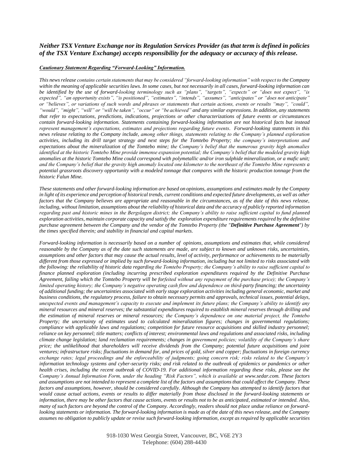#### *Neither TSX Venture Exchange nor its Regulation Services Provider (as that term is defined in policies of the TSX Venture Exchange) accepts responsibility for the adequacy or accuracy of this release.*

#### *Cautionary Statement Regarding "Forward-Looking" Information.*

*This news release contains certain statements that may be considered "forward-looking information" with respect to the Company within the meaning of applicable securities laws. In some cases, but not necessarily in all cases, forward-looking information can be identified by the use of forward-looking terminology such as "plans", "targets", "expects" or "does not expect", "is expected", "an opportunity exists", "is positioned", "estimates", "intends", "assumes", "anticipates" or "does not anticipate" or "believes", or variations of such words and phrases or statements that certain actions, events or results "may", "could", "would", "might", "will" or "will be taken", "occur" or "be achieved" and any similar expressions. In addition, any statements that refer to expectations, predictions, indications, projections or other characterizations of future events or circumstances contain forward-looking information. Statements containing forward-looking information are not historical facts but instead*  represent management's expectations, estimates and projections regarding future events. Forward-looking statements in this *news release relating to the Company include, among other things, statements relating to the Company's planned exploration activities, including its drill target strategy and next steps for the Tomtebo Property; the company's interpretations and expectations about the mineralization of the Tomtebo mine; the Company's belief that the numerous gravity high anomalies identified at the historic Tomtebo Mine provide immense expansion potential; the Company's belief that the modeled gravity high anomalies at the historic Tomtebo Mine could correspond with polymetallic and/or iron sulphide mineralization, or a mafic unit; and the Company's belief that the gravity high anomaly located one kilometer to the northeast of the Tomtebo Mine represents a potential grassroots discovery opportunity with a modeled tonnage that compares with the historic production tonnage from the historic Falun Mine.*

*These statements and other forward-looking information are based on opinions, assumptions and estimates made by the Company*  in light of its experience and perception of historical trends, current conditions and expected future developments, as well as other *factors that the Company believes are appropriate and reasonable in the circumstances, as of the date of this news release, including, without limitation, assumptions about the reliability of historical data and the accuracy of publicly reported information regarding past and historic mines in the Bergslagen district; the Company's ability to raise sufficient capital to fund planned exploration activities, maintain corporate capacity and satisfy the exploration expenditure requirements required by the definitive purchase agreement between the Company and the vendor of the Tomtebo Property (the "Definitive Purchase Agreement") by the times specified therein; and stability in financial and capital markets.*

*Forward-looking information is necessarily based on a number of opinions, assumptions and estimates that, while considered reasonable by the Company as of the date such statements are made, are subject to known and unknown risks, uncertainties, assumptions and other factors that may cause the actual results, level of activity, performance or achievements to be materially different from those expressed or implied by such forward-looking information, including but not limited to risks associated with the following: the reliability of historic data regarding the Tomtebo Property; the Company's ability to raise sufficient capital to finance planned exploration (including incurring prescribed exploration expenditures required by the Definitive Purchase Agreement, failing which the Tomtebo Property will be forfeited without any repayment of the purchase price); the Company's limited operating history; the Company's negative operating cash flow and dependence on third-party financing; the uncertainty of additional funding; the uncertainties associated with early stage exploration activities including general economic, market and business conditions, the regulatory process, failure to obtain necessary permits and approvals, technical issues, potential delays, unexpected events and management's capacity to execute and implement its future plans; the Company's ability to identify any mineral resources and mineral reserves; the substantial expenditures required to establish mineral reserves through drilling and the estimation of mineral reserves or mineral resources; the Company's dependence on one material project, the Tomtebo Property; the uncertainty of estimates used to calculated mineralization figures; changes in governmental regulations; compliance with applicable laws and regulations; competition for future resource acquisitions and skilled industry personnel; reliance on key personnel; title matters; conflicts of interest; environmental laws and regulations and associated risks, including climate change legislation; land reclamation requirements; changes in government policies; volatility of the Company's share price; the unlikelihood that shareholders will receive dividends from the Company; potential future acquisitions and joint ventures; infrastructure risks; fluctuations in demand for, and prices of gold, silver and copper; fluctuations in foreign currency exchange rates; legal proceedings and the enforceability of judgments; going concern risk; risks related to the Company's information technology systems and cyber-security risks; and risk related to the outbreak of epidemics or pandemics or other health crises, including the recent outbreak of COVID-19. For additional information regarding these risks, please see the Company's Annual Information Form, under the heading "Risk Factors", which is available at www.sedar.com. These factors and assumptions are not intended to represent a complete list of the factors and assumptions that could affect the Company. These factors and assumptions, however, should be considered carefully. Although the Company has attempted to identify factors that would cause actual actions, events or results to differ materially from those disclosed in the forward-looking statements or information, there may be other factors that cause actions, events or results not to be as anticipated, estimated or intended. Also, many of such factors are beyond the control of the Company. Accordingly, readers should not place undue reliance on forwardlooking statements or information. The forward-looking information is made as of the date of this news release, and the Company assumes no obligation to publicly update or revise such forward-looking information, except as required by applicable securities*